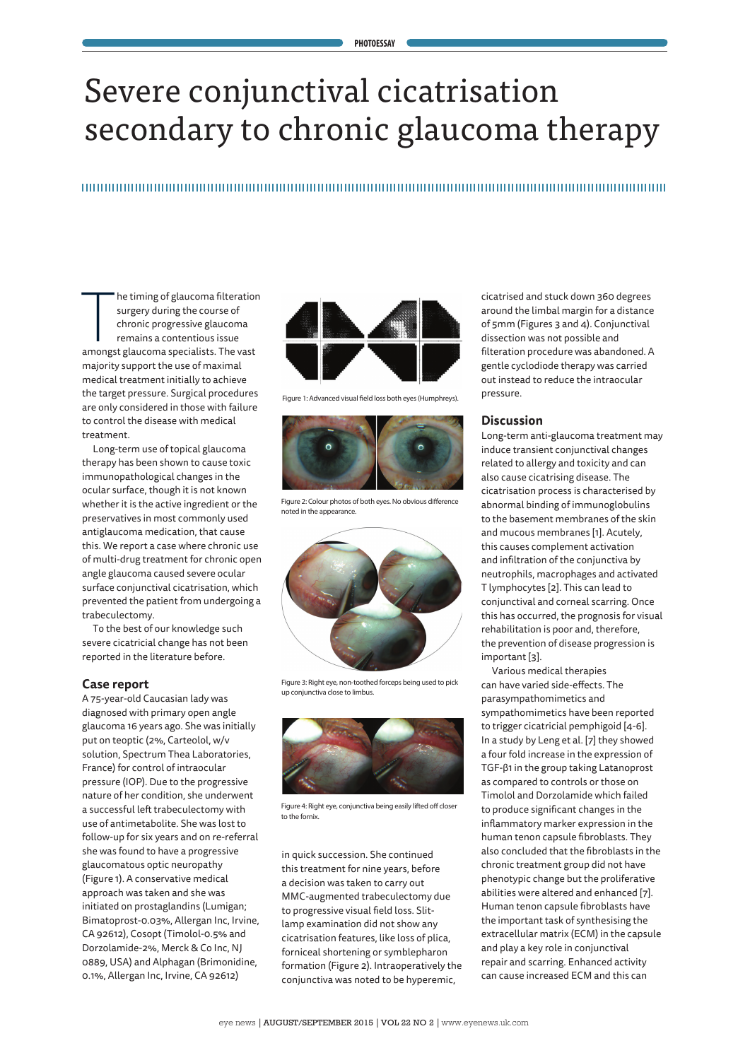# Severe conjunctival cicatrisation secondary to chronic glaucoma therapy

# 

he timing of glaucoma filteration<br>surgery during the course of<br>chronic progressive glaucoma<br>remains a contentious issue<br>amongst glaucoma specialists. The vast he timing of glaucoma filteration surgery during the course of chronic progressive glaucoma remains a contentious issue majority support the use of maximal medical treatment initially to achieve the target pressure. Surgical procedures are only considered in those with failure to control the disease with medical treatment.

Long-term use of topical glaucoma therapy has been shown to cause toxic immunopathological changes in the ocular surface, though it is not known whether it is the active ingredient or the preservatives in most commonly used antiglaucoma medication, that cause this. We report a case where chronic use of multi-drug treatment for chronic open angle glaucoma caused severe ocular surface conjunctival cicatrisation, which prevented the patient from undergoing a trabeculectomy.

To the best of our knowledge such severe cicatricial change has not been reported in the literature before.

## **Case report**

A 75-year-old Caucasian lady was diagnosed with primary open angle glaucoma 16 years ago. She was initially put on teoptic (2%, Carteolol, w/v solution, Spectrum Thea Laboratories, France) for control of intraocular pressure (IOP). Due to the progressive nature of her condition, she underwent a successful left trabeculectomy with use of antimetabolite. She was lost to follow-up for six years and on re-referral she was found to have a progressive glaucomatous optic neuropathy (Figure 1). A conservative medical approach was taken and she was initiated on prostaglandins (Lumigan; Bimatoprost-0.03%, Allergan Inc, Irvine, CA 92612), Cosopt (Timolol-0.5% and Dorzolamide-2%, Merck & Co Inc, NJ 0889, USA) and Alphagan (Brimonidine, 0.1%, Allergan Inc, Irvine, CA 92612)



Figure 1: Advanced visual field loss both eyes (Humphreys).



Figure 2: Colour photos of both eyes. No obvious difference noted in the appearance.



Figure 3: Right eye, non-toothed forceps being used to pick up conjunctiva close to limbus.



Figure 4: Right eye, conjunctiva being easily lifted off closer to the fornix.

in quick succession. She continued this treatment for nine years, before a decision was taken to carry out MMC-augmented trabeculectomy due to progressive visual field loss. Slitlamp examination did not show any cicatrisation features, like loss of plica, forniceal shortening or symblepharon formation (Figure 2). Intraoperatively the conjunctiva was noted to be hyperemic,

cicatrised and stuck down 360 degrees around the limbal margin for a distance of 5mm (Figures 3 and 4). Conjunctival dissection was not possible and filteration procedure was abandoned. A gentle cyclodiode therapy was carried out instead to reduce the intraocular pressure.

## **Discussion**

Long-term anti-glaucoma treatment may induce transient conjunctival changes related to allergy and toxicity and can also cause cicatrising disease. The cicatrisation process is characterised by abnormal binding of immunoglobulins to the basement membranes of the skin and mucous membranes [1]. Acutely, this causes complement activation and infiltration of the conjunctiva by neutrophils, macrophages and activated T lymphocytes [2]. This can lead to conjunctival and corneal scarring. Once this has occurred, the prognosis for visual rehabilitation is poor and, therefore, the prevention of disease progression is important [3].

Various medical therapies can have varied side-effects. The parasympathomimetics and sympathomimetics have been reported to trigger cicatricial pemphigoid [4-6]. In a study by Leng et al. [7] they showed a four fold increase in the expression of TGF-β1 in the group taking Latanoprost as compared to controls or those on Timolol and Dorzolamide which failed to produce significant changes in the inflammatory marker expression in the human tenon capsule fibroblasts. They also concluded that the fibroblasts in the chronic treatment group did not have phenotypic change but the proliferative abilities were altered and enhanced [7]. Human tenon capsule fibroblasts have the important task of synthesising the extracellular matrix (ECM) in the capsule and play a key role in conjunctival repair and scarring. Enhanced activity can cause increased ECM and this can